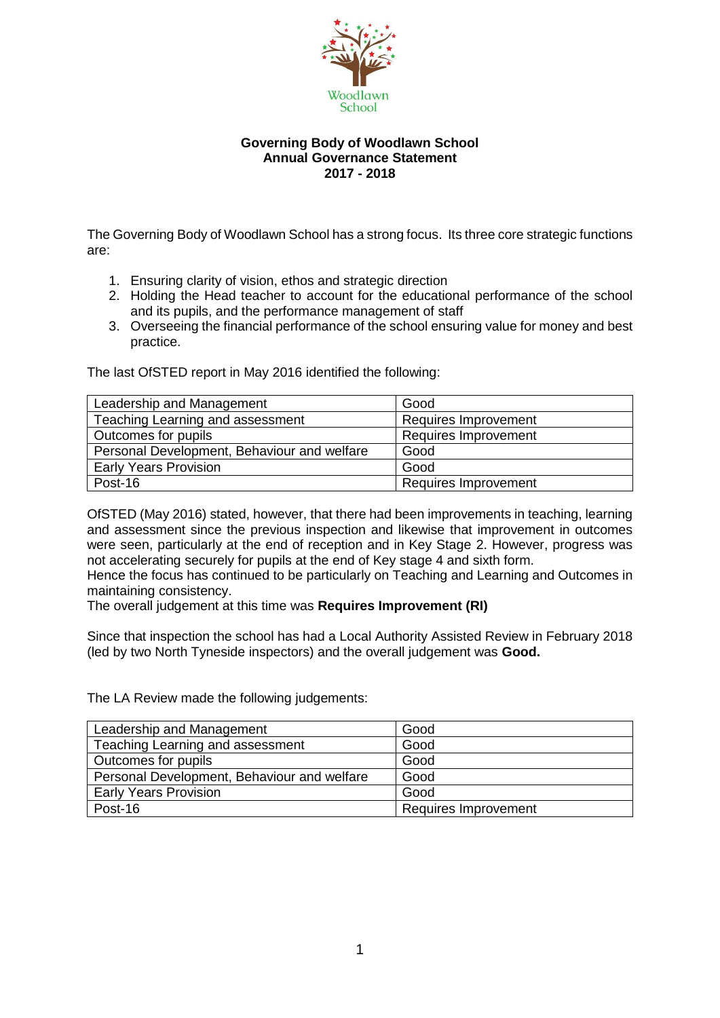

### **Governing Body of Woodlawn School Annual Governance Statement 2017 - 2018**

The Governing Body of Woodlawn School has a strong focus. Its three core strategic functions are:

- 1. Ensuring clarity of vision, ethos and strategic direction
- 2. Holding the Head teacher to account for the educational performance of the school and its pupils, and the performance management of staff
- 3. Overseeing the financial performance of the school ensuring value for money and best practice.

The last OfSTED report in May 2016 identified the following:

| Leadership and Management                   | Good                        |
|---------------------------------------------|-----------------------------|
| Teaching Learning and assessment            | Requires Improvement        |
| Outcomes for pupils                         | <b>Requires Improvement</b> |
| Personal Development, Behaviour and welfare | Good                        |
| <b>Early Years Provision</b>                | Good                        |
| Post-16                                     | Requires Improvement        |

OfSTED (May 2016) stated, however, that there had been improvements in teaching, learning and assessment since the previous inspection and likewise that improvement in outcomes were seen, particularly at the end of reception and in Key Stage 2. However, progress was not accelerating securely for pupils at the end of Key stage 4 and sixth form.

Hence the focus has continued to be particularly on Teaching and Learning and Outcomes in maintaining consistency.

The overall judgement at this time was **Requires Improvement (RI)**

Since that inspection the school has had a Local Authority Assisted Review in February 2018 (led by two North Tyneside inspectors) and the overall judgement was **Good.**

The LA Review made the following judgements:

| Leadership and Management                   | Good                 |
|---------------------------------------------|----------------------|
| Teaching Learning and assessment            | Good                 |
| Outcomes for pupils                         | Good                 |
| Personal Development, Behaviour and welfare | Good                 |
| <b>Early Years Provision</b>                | Good                 |
| Post-16                                     | Requires Improvement |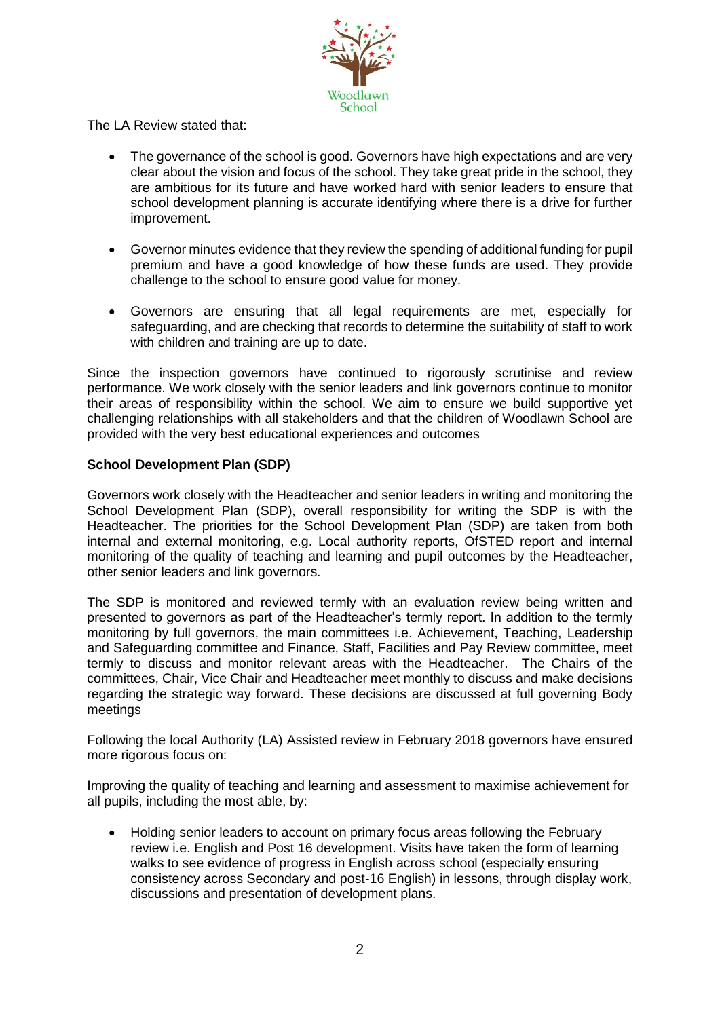

The LA Review stated that:

- The governance of the school is good. Governors have high expectations and are very clear about the vision and focus of the school. They take great pride in the school, they are ambitious for its future and have worked hard with senior leaders to ensure that school development planning is accurate identifying where there is a drive for further improvement.
- Governor minutes evidence that they review the spending of additional funding for pupil premium and have a good knowledge of how these funds are used. They provide challenge to the school to ensure good value for money.
- Governors are ensuring that all legal requirements are met, especially for safeguarding, and are checking that records to determine the suitability of staff to work with children and training are up to date.

Since the inspection governors have continued to rigorously scrutinise and review performance. We work closely with the senior leaders and link governors continue to monitor their areas of responsibility within the school. We aim to ensure we build supportive yet challenging relationships with all stakeholders and that the children of Woodlawn School are provided with the very best educational experiences and outcomes

# **School Development Plan (SDP)**

Governors work closely with the Headteacher and senior leaders in writing and monitoring the School Development Plan (SDP), overall responsibility for writing the SDP is with the Headteacher. The priorities for the School Development Plan (SDP) are taken from both internal and external monitoring, e.g. Local authority reports, OfSTED report and internal monitoring of the quality of teaching and learning and pupil outcomes by the Headteacher, other senior leaders and link governors.

The SDP is monitored and reviewed termly with an evaluation review being written and presented to governors as part of the Headteacher's termly report. In addition to the termly monitoring by full governors, the main committees i.e. Achievement, Teaching, Leadership and Safeguarding committee and Finance, Staff, Facilities and Pay Review committee, meet termly to discuss and monitor relevant areas with the Headteacher. The Chairs of the committees, Chair, Vice Chair and Headteacher meet monthly to discuss and make decisions regarding the strategic way forward. These decisions are discussed at full governing Body meetings

Following the local Authority (LA) Assisted review in February 2018 governors have ensured more rigorous focus on:

Improving the quality of teaching and learning and assessment to maximise achievement for all pupils, including the most able, by:

 Holding senior leaders to account on primary focus areas following the February review i.e. English and Post 16 development. Visits have taken the form of learning walks to see evidence of progress in English across school (especially ensuring consistency across Secondary and post-16 English) in lessons, through display work, discussions and presentation of development plans.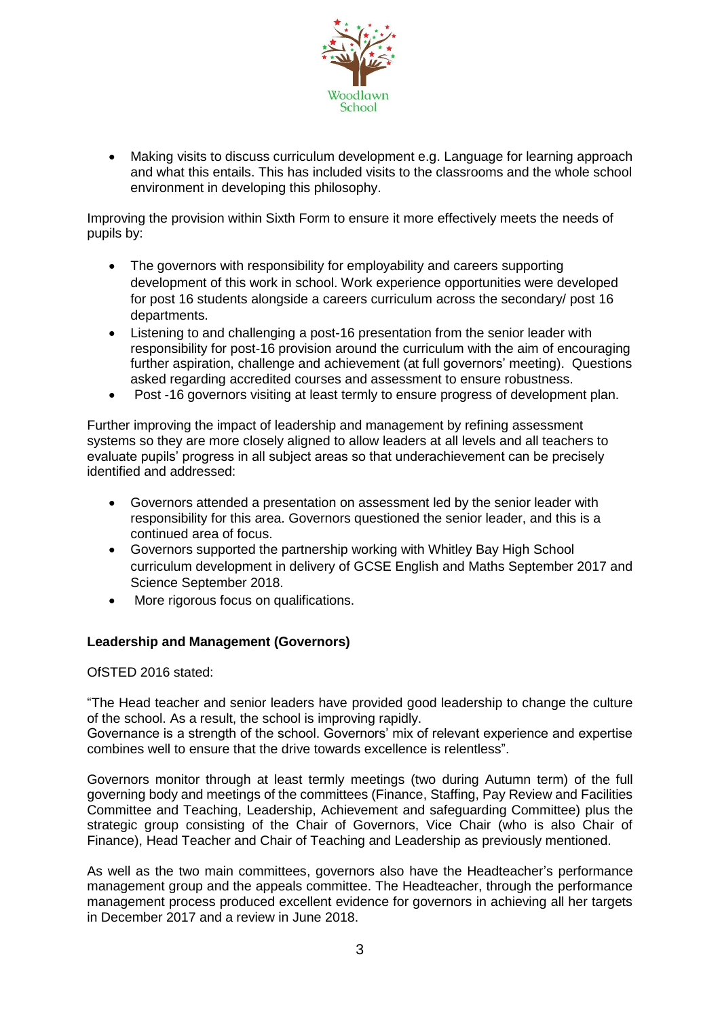

 Making visits to discuss curriculum development e.g. Language for learning approach and what this entails. This has included visits to the classrooms and the whole school environment in developing this philosophy.

Improving the provision within Sixth Form to ensure it more effectively meets the needs of pupils by:

- The governors with responsibility for employability and careers supporting development of this work in school. Work experience opportunities were developed for post 16 students alongside a careers curriculum across the secondary/ post 16 departments.
- Listening to and challenging a post-16 presentation from the senior leader with responsibility for post-16 provision around the curriculum with the aim of encouraging further aspiration, challenge and achievement (at full governors' meeting). Questions asked regarding accredited courses and assessment to ensure robustness.
- Post -16 governors visiting at least termly to ensure progress of development plan.

Further improving the impact of leadership and management by refining assessment systems so they are more closely aligned to allow leaders at all levels and all teachers to evaluate pupils' progress in all subject areas so that underachievement can be precisely identified and addressed:

- Governors attended a presentation on assessment led by the senior leader with responsibility for this area. Governors questioned the senior leader, and this is a continued area of focus.
- Governors supported the partnership working with Whitley Bay High School curriculum development in delivery of GCSE English and Maths September 2017 and Science September 2018.
- More rigorous focus on qualifications.

# **Leadership and Management (Governors)**

# OfSTED 2016 stated:

"The Head teacher and senior leaders have provided good leadership to change the culture of the school. As a result, the school is improving rapidly.

Governance is a strength of the school. Governors' mix of relevant experience and expertise combines well to ensure that the drive towards excellence is relentless".

Governors monitor through at least termly meetings (two during Autumn term) of the full governing body and meetings of the committees (Finance, Staffing, Pay Review and Facilities Committee and Teaching, Leadership, Achievement and safeguarding Committee) plus the strategic group consisting of the Chair of Governors, Vice Chair (who is also Chair of Finance), Head Teacher and Chair of Teaching and Leadership as previously mentioned.

As well as the two main committees, governors also have the Headteacher's performance management group and the appeals committee. The Headteacher, through the performance management process produced excellent evidence for governors in achieving all her targets in December 2017 and a review in June 2018.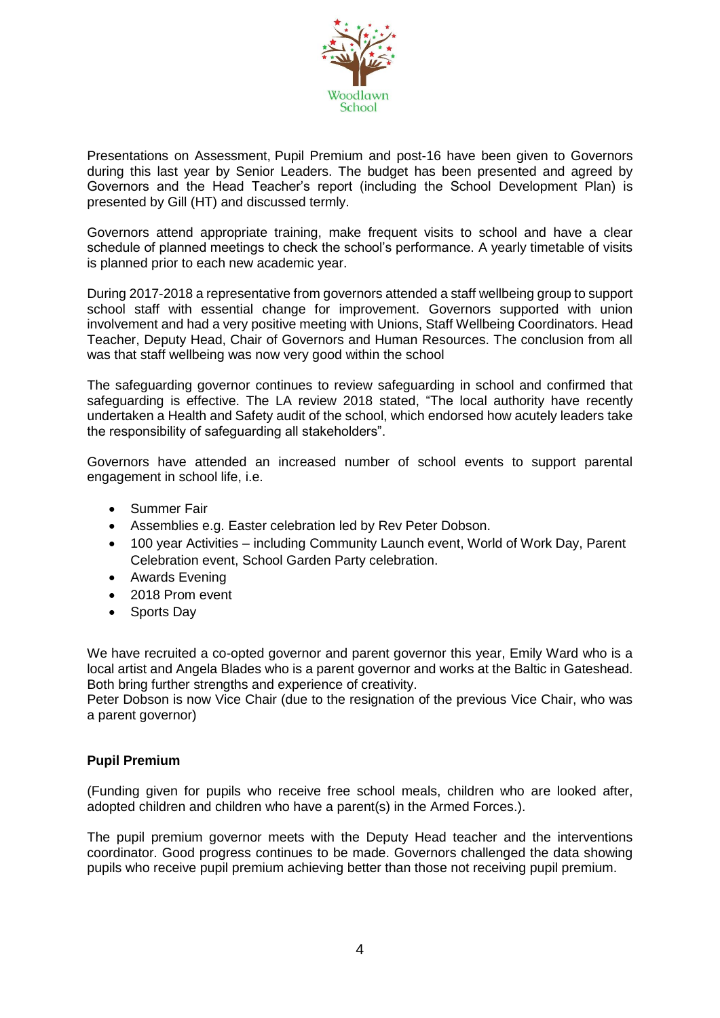

Presentations on Assessment, Pupil Premium and post-16 have been given to Governors during this last year by Senior Leaders. The budget has been presented and agreed by Governors and the Head Teacher's report (including the School Development Plan) is presented by Gill (HT) and discussed termly.

Governors attend appropriate training, make frequent visits to school and have a clear schedule of planned meetings to check the school's performance. A yearly timetable of visits is planned prior to each new academic year.

During 2017-2018 a representative from governors attended a staff wellbeing group to support school staff with essential change for improvement. Governors supported with union involvement and had a very positive meeting with Unions, Staff Wellbeing Coordinators. Head Teacher, Deputy Head, Chair of Governors and Human Resources. The conclusion from all was that staff wellbeing was now very good within the school

The safeguarding governor continues to review safeguarding in school and confirmed that safeguarding is effective. The LA review 2018 stated, "The local authority have recently undertaken a Health and Safety audit of the school, which endorsed how acutely leaders take the responsibility of safeguarding all stakeholders".

Governors have attended an increased number of school events to support parental engagement in school life, i.e.

- Summer Fair
- Assemblies e.g. Easter celebration led by Rev Peter Dobson.
- 100 year Activities including Community Launch event, World of Work Day, Parent Celebration event, School Garden Party celebration.
- Awards Evening
- 2018 Prom event
- Sports Day

We have recruited a co-opted governor and parent governor this year, Emily Ward who is a local artist and Angela Blades who is a parent governor and works at the Baltic in Gateshead. Both bring further strengths and experience of creativity.

Peter Dobson is now Vice Chair (due to the resignation of the previous Vice Chair, who was a parent governor)

# **Pupil Premium**

(Funding given for pupils who receive free school meals, children who are looked after, adopted children and children who have a parent(s) in the Armed Forces.).

The pupil premium governor meets with the Deputy Head teacher and the interventions coordinator. Good progress continues to be made. Governors challenged the data showing pupils who receive pupil premium achieving better than those not receiving pupil premium.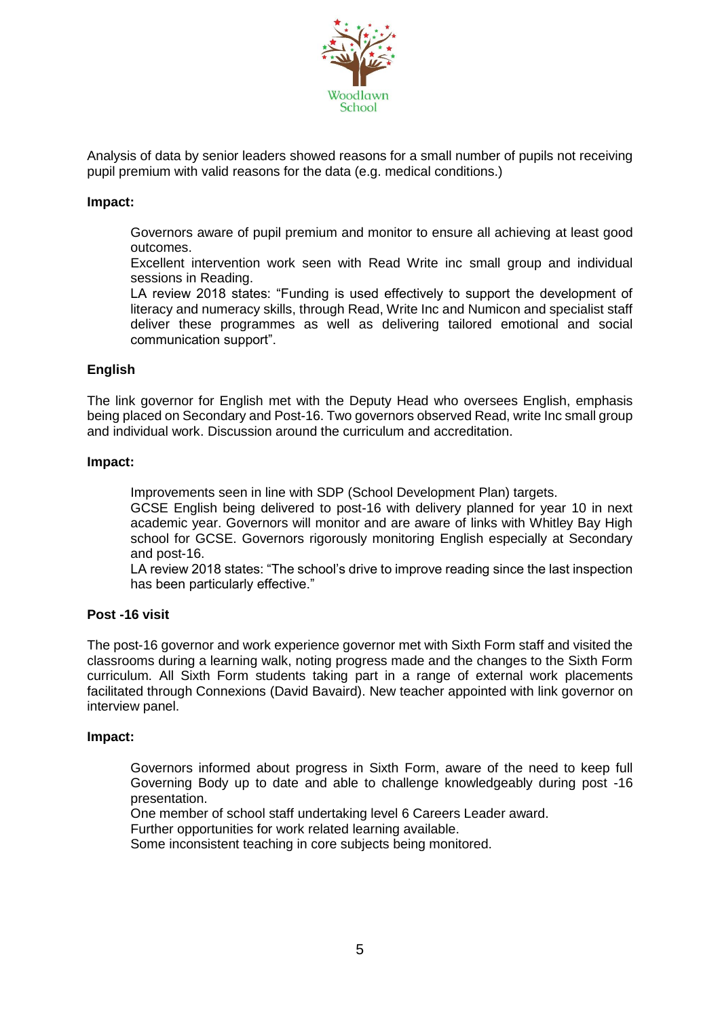

Analysis of data by senior leaders showed reasons for a small number of pupils not receiving pupil premium with valid reasons for the data (e.g. medical conditions.)

## **Impact:**

Governors aware of pupil premium and monitor to ensure all achieving at least good outcomes.

Excellent intervention work seen with Read Write inc small group and individual sessions in Reading.

LA review 2018 states: "Funding is used effectively to support the development of literacy and numeracy skills, through Read, Write Inc and Numicon and specialist staff deliver these programmes as well as delivering tailored emotional and social communication support".

# **English**

The link governor for English met with the Deputy Head who oversees English, emphasis being placed on Secondary and Post-16. Two governors observed Read, write Inc small group and individual work. Discussion around the curriculum and accreditation.

#### **Impact:**

Improvements seen in line with SDP (School Development Plan) targets.

GCSE English being delivered to post-16 with delivery planned for year 10 in next academic year. Governors will monitor and are aware of links with Whitley Bay High school for GCSE. Governors rigorously monitoring English especially at Secondary and post-16.

LA review 2018 states: "The school's drive to improve reading since the last inspection has been particularly effective."

# **Post -16 visit**

The post-16 governor and work experience governor met with Sixth Form staff and visited the classrooms during a learning walk, noting progress made and the changes to the Sixth Form curriculum. All Sixth Form students taking part in a range of external work placements facilitated through Connexions (David Bavaird). New teacher appointed with link governor on interview panel.

#### **Impact:**

Governors informed about progress in Sixth Form, aware of the need to keep full Governing Body up to date and able to challenge knowledgeably during post -16 presentation.

One member of school staff undertaking level 6 Careers Leader award.

Further opportunities for work related learning available.

Some inconsistent teaching in core subjects being monitored.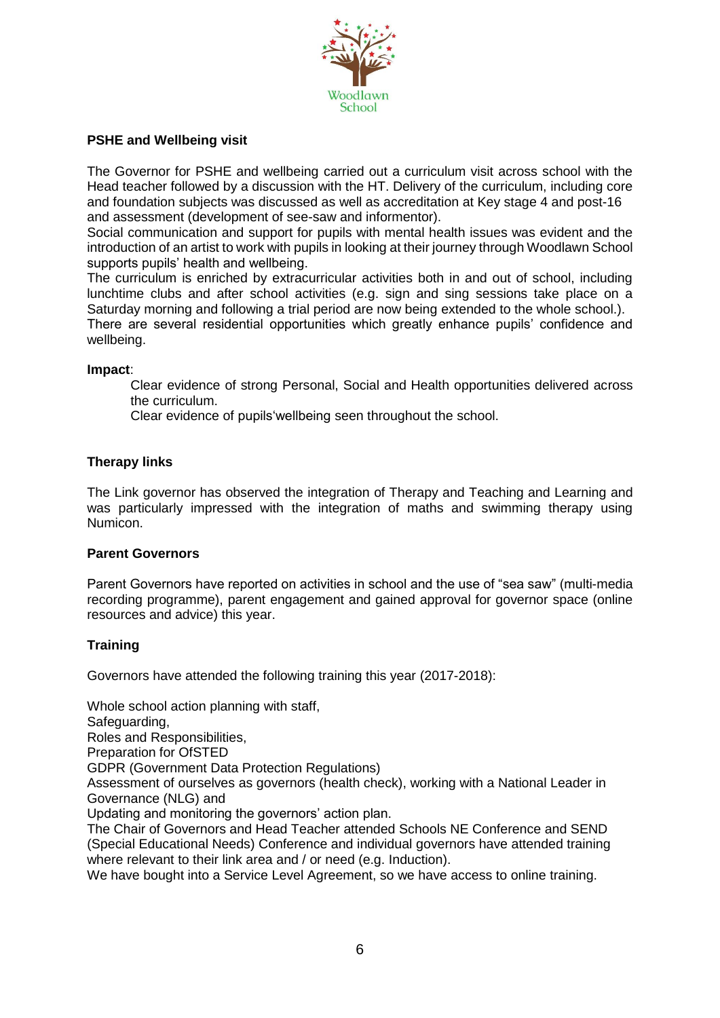

# **PSHE and Wellbeing visit**

The Governor for PSHE and wellbeing carried out a curriculum visit across school with the Head teacher followed by a discussion with the HT. Delivery of the curriculum, including core and foundation subjects was discussed as well as accreditation at Key stage 4 and post-16 and assessment (development of see-saw and informentor).

Social communication and support for pupils with mental health issues was evident and the introduction of an artist to work with pupils in looking at their journey through Woodlawn School supports pupils' health and wellbeing.

The curriculum is enriched by extracurricular activities both in and out of school, including lunchtime clubs and after school activities (e.g. sign and sing sessions take place on a Saturday morning and following a trial period are now being extended to the whole school.). There are several residential opportunities which greatly enhance pupils' confidence and wellbeing.

### **Impact**:

Clear evidence of strong Personal, Social and Health opportunities delivered across the curriculum.

Clear evidence of pupils'wellbeing seen throughout the school.

# **Therapy links**

The Link governor has observed the integration of Therapy and Teaching and Learning and was particularly impressed with the integration of maths and swimming therapy using Numicon.

# **Parent Governors**

Parent Governors have reported on activities in school and the use of "sea saw" (multi-media recording programme), parent engagement and gained approval for governor space (online resources and advice) this year.

# **Training**

Governors have attended the following training this year (2017-2018):

Whole school action planning with staff, Safeguarding, Roles and Responsibilities, Preparation for OfSTED GDPR (Government Data Protection Regulations) Assessment of ourselves as governors (health check), working with a National Leader in Governance (NLG) and Updating and monitoring the governors' action plan. The Chair of Governors and Head Teacher attended Schools NE Conference and SEND (Special Educational Needs) Conference and individual governors have attended training

where relevant to their link area and / or need (e.g. Induction).

We have bought into a Service Level Agreement, so we have access to online training.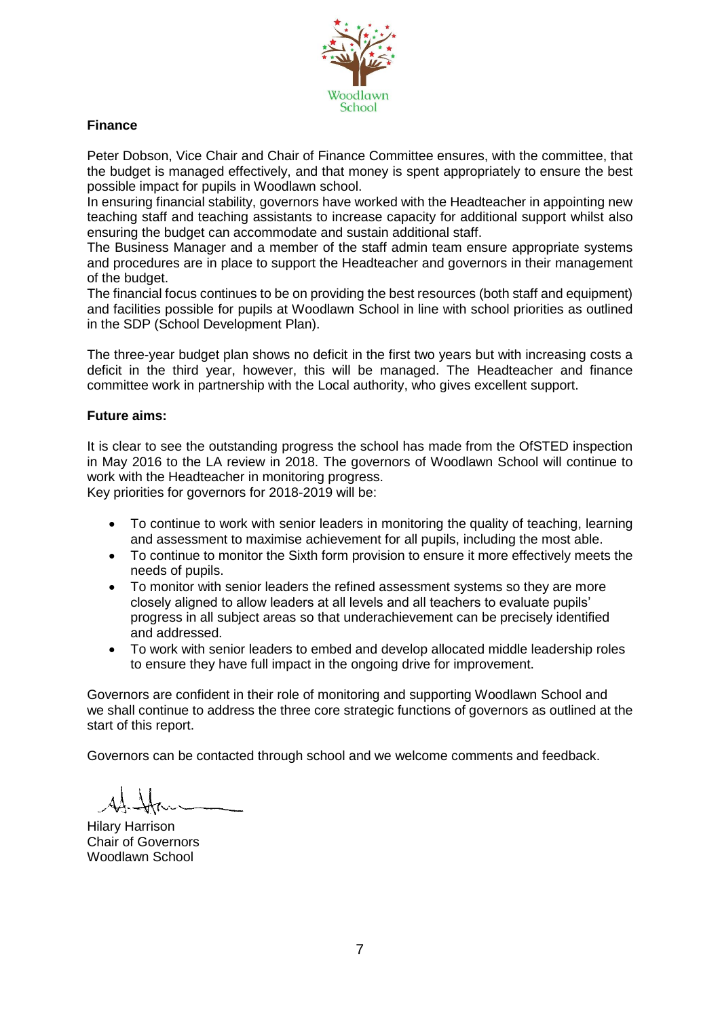

# **Finance**

Peter Dobson, Vice Chair and Chair of Finance Committee ensures, with the committee, that the budget is managed effectively, and that money is spent appropriately to ensure the best possible impact for pupils in Woodlawn school.

In ensuring financial stability, governors have worked with the Headteacher in appointing new teaching staff and teaching assistants to increase capacity for additional support whilst also ensuring the budget can accommodate and sustain additional staff.

The Business Manager and a member of the staff admin team ensure appropriate systems and procedures are in place to support the Headteacher and governors in their management of the budget.

The financial focus continues to be on providing the best resources (both staff and equipment) and facilities possible for pupils at Woodlawn School in line with school priorities as outlined in the SDP (School Development Plan).

The three-year budget plan shows no deficit in the first two years but with increasing costs a deficit in the third year, however, this will be managed. The Headteacher and finance committee work in partnership with the Local authority, who gives excellent support.

# **Future aims:**

It is clear to see the outstanding progress the school has made from the OfSTED inspection in May 2016 to the LA review in 2018. The governors of Woodlawn School will continue to work with the Headteacher in monitoring progress.

Key priorities for governors for 2018-2019 will be:

- To continue to work with senior leaders in monitoring the quality of teaching, learning and assessment to maximise achievement for all pupils, including the most able.
- To continue to monitor the Sixth form provision to ensure it more effectively meets the needs of pupils.
- To monitor with senior leaders the refined assessment systems so they are more closely aligned to allow leaders at all levels and all teachers to evaluate pupils' progress in all subject areas so that underachievement can be precisely identified and addressed.
- To work with senior leaders to embed and develop allocated middle leadership roles to ensure they have full impact in the ongoing drive for improvement.

Governors are confident in their role of monitoring and supporting Woodlawn School and we shall continue to address the three core strategic functions of governors as outlined at the start of this report.

Governors can be contacted through school and we welcome comments and feedback.

Hilary Harrison Chair of Governors Woodlawn School